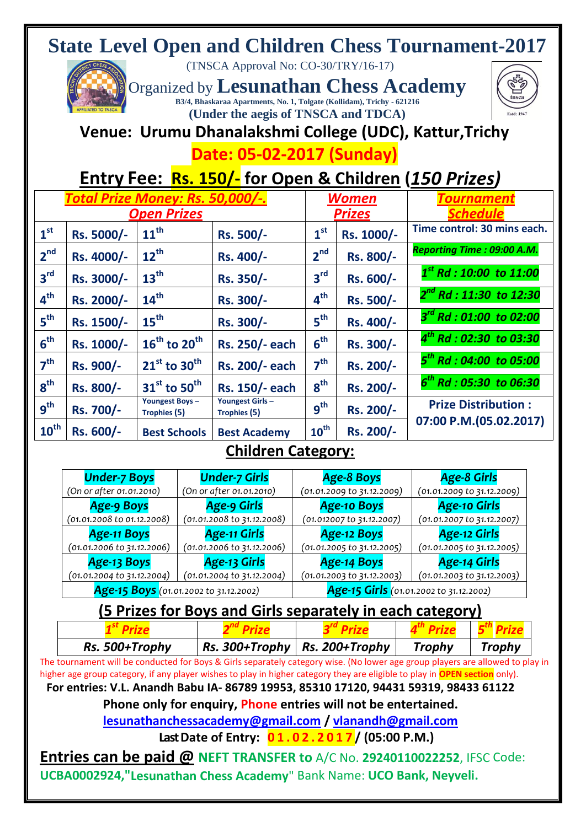# **State Level Open and Children Chess Tournament-2017**

(TNSCA Approval No: CO-30/TRY/16-17)

Organized by **Lesunathan Chess Academy B3/4, Bhaskaraa Apartments, No. 1, Tolgate (Kollidam), Trichy - 621216 (Under the aegis of TNSCA and TDCA)**



# **Venue: Urumu Dhanalakshmi College (UDC), Kattur,Trichy**

**Date: 05-02-2017 (Sunday)**

# **Entry Fee: Rs. 150/- for Open & Children (***150 Prizes)*

|                  | Total Prize Money: Rs. 50,000/-.<br><b>Open Prizes</b> |                                       |                                        |                  | <b>Women</b><br><b>Prizes</b> | <b>ournamen</b><br><b>Schedule</b> |
|------------------|--------------------------------------------------------|---------------------------------------|----------------------------------------|------------------|-------------------------------|------------------------------------|
| 1 <sup>st</sup>  | Rs. 5000/-                                             | $11^{\text{th}}$                      | Rs. 500/-                              | 1 <sup>st</sup>  | Rs. 1000/-                    | Time control: 30 mins each.        |
| 2 <sup>nd</sup>  | Rs. 4000/-                                             | $12^{th}$                             | Rs. 400/-                              | 2 <sup>nd</sup>  | Rs. 800/-                     | Reporting Time: 09:00 A.M.         |
| 3 <sup>rd</sup>  | Rs. 3000/-                                             | 13 <sup>th</sup>                      | Rs. 350/-                              | 3 <sup>rd</sup>  | Rs. 600/-                     | $1^{st}$ Rd : 10:00 to 11:00       |
| 4 <sup>th</sup>  | Rs. 2000/-                                             | 14 <sup>th</sup>                      | Rs. 300/-                              | 4 <sup>th</sup>  | Rs. 500/-                     | $2^{nd}$ Rd : 11:30 to 12:30       |
| 5 <sup>th</sup>  | Rs. 1500/-                                             | 15 <sup>th</sup>                      | Rs. 300/-                              | 5 <sup>th</sup>  | Rs. 400/-                     | $3^{rd}$ Rd : 01:00 to 02:00       |
| 6 <sup>th</sup>  | Rs. 1000/-                                             | $16^{th}$ to $20^{th}$                | Rs. 250/- each                         | 6 <sup>th</sup>  | Rs. 300/-                     | $4^{th}$ Rd : 02:30 to 03:30       |
| 7 <sup>th</sup>  | Rs. 900/-                                              | $21^{st}$ to 30 <sup>th</sup>         | Rs. 200/- each                         | 7 <sup>th</sup>  | Rs. 200/-                     | $5th$ Rd : 04:00 to 05:00          |
| 8 <sup>th</sup>  | Rs. 800/-                                              | $31st$ to 50 <sup>th</sup>            | Rs. 150/- each                         | 8 <sup>th</sup>  | Rs. 200/-                     | $6th$ Rd : 05:30 to 06:30          |
| g <sup>th</sup>  | Rs. 700/-                                              | <b>Youngest Boys-</b><br>Trophies (5) | <b>Youngest Girls-</b><br>Trophies (5) | g <sup>th</sup>  | Rs. 200/-                     | <b>Prize Distribution:</b>         |
| $10^{\text{th}}$ | Rs. 600/-                                              | <b>Best Schools</b>                   | <b>Best Academy</b>                    | $10^{\text{th}}$ | Rs. 200/-                     | 07:00 P.M.(05.02.2017)             |

#### **Children Category:**

| <b>Under-7 Boys</b>                    | <b>Under-7 Girls</b>                  | <b>Age-8 Boys</b>                       | <b>Age-8 Girls</b>         |  |
|----------------------------------------|---------------------------------------|-----------------------------------------|----------------------------|--|
| (On or after 01.01.2010)               | (On or after 01.01.2010)              | (01.01.2009 to 31.12.2009)              | (01.01.2009 to 31.12.2009) |  |
| <b>Age-9 Boys</b>                      | Age-9 Girls                           | <b>Age-10 Boys</b>                      | <b>Age-10 Girls</b>        |  |
| $(01.01.2008 \text{ to } 01.12.2008)$  | $(01.01.2008 \text{ to } 31.12.2008)$ | (01.012007 to 31.12.2007)               | (01.01.2007 to 31.12.2007) |  |
| <b>Age-11 Boys</b>                     | <b>Age-11 Girls</b>                   | <b>Age-12 Boys</b>                      | <b>Age-12 Girls</b>        |  |
| (01.01.2006 to 31.12.2006)             | $(01.01.2006 \text{ to } 31.12.2006)$ | (01.01.2005 to 31.12.2005)              | (01.01.2005 to 31.12.2005) |  |
| <b>Age-13 Boys</b>                     | Age-13 Girls                          | <b>Age-14 Boys</b>                      | <b>Age-14 Girls</b>        |  |
| (01.01.2004 to 31.12.2004)             | $(01.01.2004 \text{ to } 31.12.2004)$ | (01.01.2003 to 31.12.2003)              | (01.01.2003 to 31.12.2003) |  |
| Age-15 Boys (01.01.2002 to 31.12.2002) |                                       | Age-15 Girls (01.01.2002 to 31.12.2002) |                            |  |

### **(5 Prizes for Boys and Girls separately in each category)**

| Rs. 500+Trophy                                                                                                 | $\mid$ Rs. 300+Trophy $\mid$ Rs. 200+Trophy |  | Trophy | <b>Trophy</b> |
|----------------------------------------------------------------------------------------------------------------|---------------------------------------------|--|--------|---------------|
| ان الاست السابق المقابل المستقبل المتحدة المستقبل المستقبل المستقبل المستقبل المستقبل المستقبل المستقبل المستق |                                             |  |        |               |

The tournament will be conducted for Boys & Girls separately category wise. (No lower age group players are allowed to play in higher age group category, if any player wishes to play in higher category they are eligible to play in **OPEN section** only).

**For entries: V.L. Anandh Babu IA- 86789 19953, 85310 17120, 94431 59319, 98433 61122**

**Phone only for enquiry, Phone entries will not be entertained.**

**[lesunathanchessacademy@gmail.com](mailto:lesunathanchessacademy@gmail.com) / [vlanandh@gmail.com](mailto:vlanandh@gmail.com)**

**Last Date of Entry: 0 1 . 0 2 . 2 0 1 7 / (05:00 P.M.)**

**Entries can be paid @ NEFT TRANSFER to** A/C No. **29240110022252**, IFSC Code: **UCBA0002924,"Lesunathan Chess Academy**" Bank Name: **UCO Bank, Neyveli.**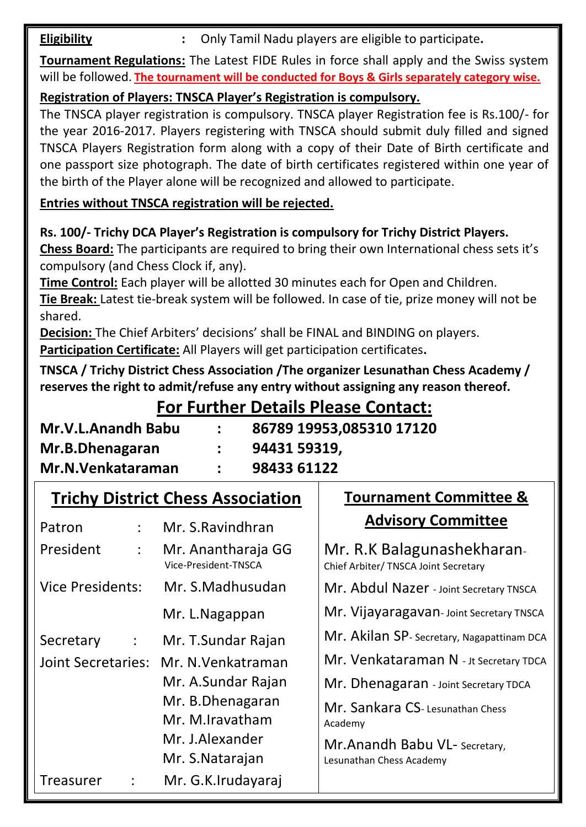**Eligibility :** Only Tamil Nadu players are eligible to participate.

**Tournament Regulations:** The Latest FIDE Rules in force shall apply and the Swiss system will be followed. **The tournament will be conducted for Boys & Girls separately category wise.**

**Registration of Players: TNSCA Player's Registration is compulsory.**

The TNSCA player registration is compulsory. TNSCA player Registration fee is Rs.100/- for the year 2016-2017. Players registering with TNSCA should submit duly filled and signed TNSCA Players Registration form along with a copy of their Date of Birth certificate and one passport size photograph. The date of birth certificates registered within one year of the birth of the Player alone will be recognized and allowed to participate.

**Entries without TNSCA registration will be rejected.** 

**Rs. 100/- Trichy DCA Player's Registration is compulsory for Trichy District Players.**

**Chess Board:** The participants are required to bring their own International chess sets it's compulsory (and Chess Clock if, any).

**Time Control:** Each player will be allotted 30 minutes each for Open and Children. **Tie Break:** Latest tie-break system will be followed. In case of tie, prize money will not be

shared. **Decision:** The Chief Arbiters' decisions' shall be FINAL and BINDING on players.

**Participation Certificate:** All Players will get participation certificates**.** 

**TNSCA / Trichy District Chess Association /The organizer Lesunathan Chess Academy / reserves the right to admit/refuse any entry without assigning any reason thereof.** 

#### **For Further Details Please Contact:**

**Tournament Committee &** 

| <b>Mr.V.L.Anandh Babu</b>             | 86789 19953,085310 17120<br>94431 59319, |
|---------------------------------------|------------------------------------------|
| Mr.B.Dhenagaran<br>Mr.N. Venkataraman | 98433 61122                              |

## **Trichy District Chess Association**

| Patron                            | Mr. S. Ravindhran                          | <b>Advisory Committee</b>                                         |  |
|-----------------------------------|--------------------------------------------|-------------------------------------------------------------------|--|
| President<br>÷                    | Mr. Anantharaja GG<br>Vice-President-TNSCA | Mr. R.K Balagunashekharan<br>Chief Arbiter/ TNSCA Joint Secretary |  |
| <b>Vice Presidents:</b>           | Mr. S.Madhusudan                           | Mr. Abdul Nazer - Joint Secretary TNSCA                           |  |
|                                   | Mr. L.Nagappan                             | Mr. Vijayaragavan-Joint Secretary TNSCA                           |  |
| Secretary<br>$\ddot{\phantom{a}}$ | Mr. T.Sundar Rajan                         | Mr. Akilan SP-Secretary, Nagapattinam DCA                         |  |
| <b>Joint Secretaries:</b>         | Mr. N. Venkatraman                         | Mr. Venkataraman N - Jt Secretary TDCA                            |  |
|                                   | Mr. A.Sundar Rajan                         | Mr. Dhenagaran - Joint Secretary TDCA                             |  |
|                                   | Mr. B.Dhenagaran<br>Mr. M.Iravatham        | Mr. Sankara CS-Lesunathan Chess<br>Academy                        |  |
|                                   | Mr. J.Alexander                            | Mr.Anandh Babu VL- Secretary,                                     |  |
|                                   | Mr. S.Natarajan                            | Lesunathan Chess Academy                                          |  |
| <b>Treasurer</b><br>÷             | Mr. G.K.Irudayaraj                         |                                                                   |  |